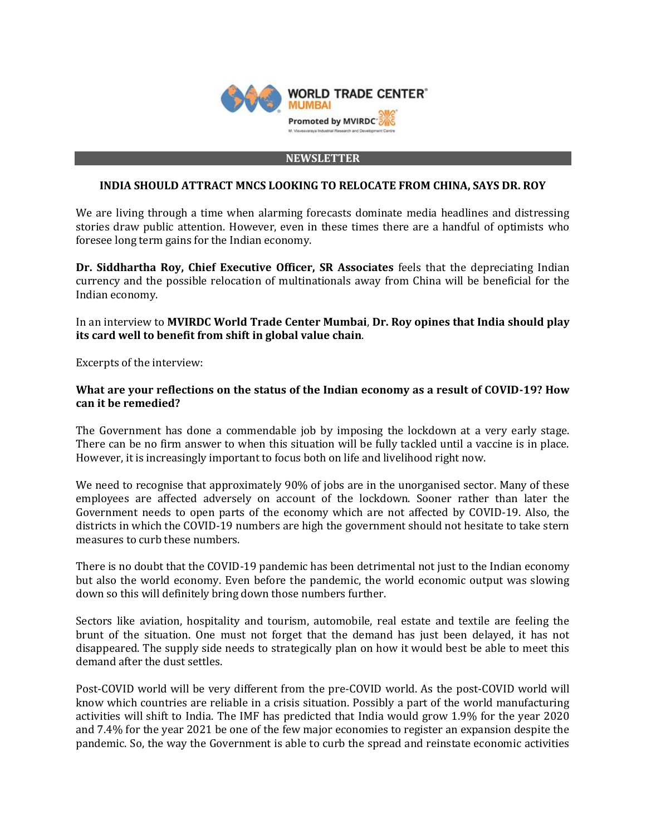

#### **NEWSLETTER**

#### **INDIA SHOULD ATTRACT MNCS LOOKING TO RELOCATE FROM CHINA, SAYS DR. ROY**

We are living through a time when alarming forecasts dominate media headlines and distressing stories draw public attention. However, even in these times there are a handful of optimists who foresee long term gains for the Indian economy.

**Dr. Siddhartha Roy, Chief Executive Officer, SR Associates** feels that the depreciating Indian currency and the possible relocation of multinationals away from China will be beneficial for the Indian economy.

In an interview to **MVIRDC World Trade Center Mumbai**, **Dr. Roy opines that India should play its card well to benefit from shift in global value chain**.

Excerpts of the interview:

### **What are your reflections on the status of the Indian economy as a result of COVID-19? How can it be remedied?**

The Government has done a commendable job by imposing the lockdown at a very early stage. There can be no firm answer to when this situation will be fully tackled until a vaccine is in place. However, it is increasingly important to focus both on life and livelihood right now.

We need to recognise that approximately 90% of jobs are in the unorganised sector. Many of these employees are affected adversely on account of the lockdown. Sooner rather than later the Government needs to open parts of the economy which are not affected by COVID-19. Also, the districts in which the COVID-19 numbers are high the government should not hesitate to take stern measures to curb these numbers.

There is no doubt that the COVID-19 pandemic has been detrimental not just to the Indian economy but also the world economy. Even before the pandemic, the world economic output was slowing down so this will definitely bring down those numbers further.

Sectors like aviation, hospitality and tourism, automobile, real estate and textile are feeling the brunt of the situation. One must not forget that the demand has just been delayed, it has not disappeared. The supply side needs to strategically plan on how it would best be able to meet this demand after the dust settles.

Post-COVID world will be very different from the pre-COVID world. As the post-COVID world will know which countries are reliable in a crisis situation. Possibly a part of the world manufacturing activities will shift to India. The IMF has predicted that India would grow 1.9% for the year 2020 and 7.4% for the year 2021 be one of the few major economies to register an expansion despite the pandemic. So, the way the Government is able to curb the spread and reinstate economic activities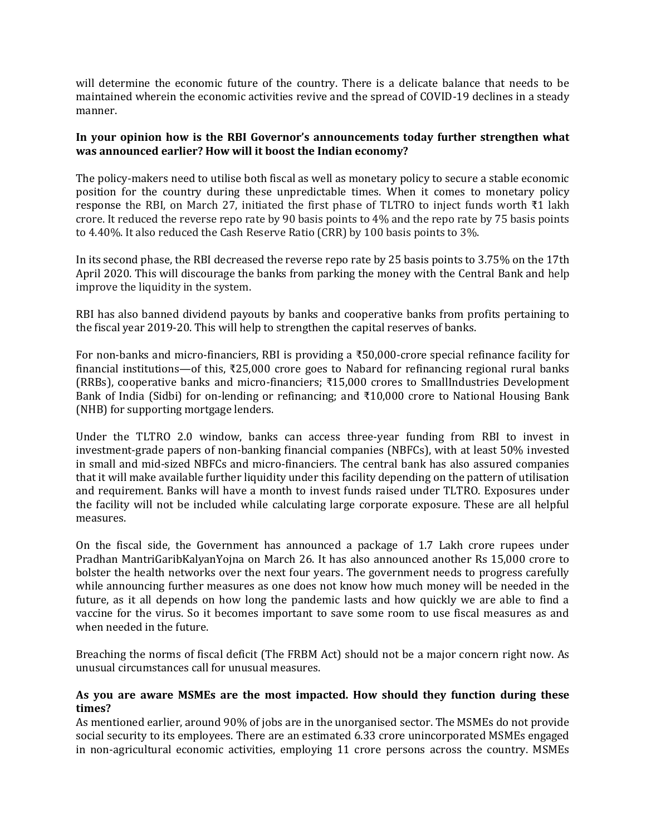will determine the economic future of the country. There is a delicate balance that needs to be maintained wherein the economic activities revive and the spread of COVID-19 declines in a steady manner.

### **In your opinion how is the RBI Governor's announcements today further strengthen what was announced earlier? How will it boost the Indian economy?**

The policy-makers need to utilise both fiscal as well as monetary policy to secure a stable economic position for the country during these unpredictable times. When it comes to monetary policy response the RBI, on March 27, initiated the first phase of TLTRO to inject funds worth ₹1 lakh crore. It reduced the reverse repo rate by 90 basis points to 4% and the repo rate by 75 basis points to 4.40%. It also reduced the Cash Reserve Ratio (CRR) by 100 basis points to 3%.

In its second phase, the RBI decreased the reverse repo rate by 25 basis points to 3.75% on the 17th April 2020. This will discourage the banks from parking the money with the Central Bank and help improve the liquidity in the system.

RBI has also banned dividend payouts by banks and cooperative banks from profits pertaining to the fiscal year 2019-20. This will help to strengthen the capital reserves of banks.

For non-banks and micro-financiers, RBI is providing a ₹50,000-crore special refinance facility for financial institutions—of this, ₹25,000 crore goes to Nabard for refinancing regional rural banks (RRBs), cooperative banks and micro-financiers; ₹15,000 crores to SmallIndustries Development Bank of India (Sidbi) for on-lending or refinancing; and ₹10,000 crore to National Housing Bank (NHB) for supporting mortgage lenders.

Under the TLTRO 2.0 window, banks can access three-year funding from RBI to invest in investment-grade papers of non-banking financial companies (NBFCs), with at least 50% invested in small and mid-sized NBFCs and micro-financiers. The central bank has also assured companies that it will make available further liquidity under this facility depending on the pattern of utilisation and requirement. Banks will have a month to invest funds raised under TLTRO. Exposures under the facility will not be included while calculating large corporate exposure. These are all helpful measures.

On the fiscal side, the Government has announced a package of 1.7 Lakh crore rupees under Pradhan MantriGaribKalyanYojna on March 26. It has also announced another Rs 15,000 crore to bolster the health networks over the next four years. The government needs to progress carefully while announcing further measures as one does not know how much money will be needed in the future, as it all depends on how long the pandemic lasts and how quickly we are able to find a vaccine for the virus. So it becomes important to save some room to use fiscal measures as and when needed in the future.

Breaching the norms of fiscal deficit (The FRBM Act) should not be a major concern right now. As unusual circumstances call for unusual measures.

#### **As you are aware MSMEs are the most impacted. How should they function during these times?**

As mentioned earlier, around 90% of jobs are in the unorganised sector. The MSMEs do not provide social security to its employees. There are an estimated 6.33 crore unincorporated MSMEs engaged in non-agricultural economic activities, employing 11 crore persons across the country. MSMEs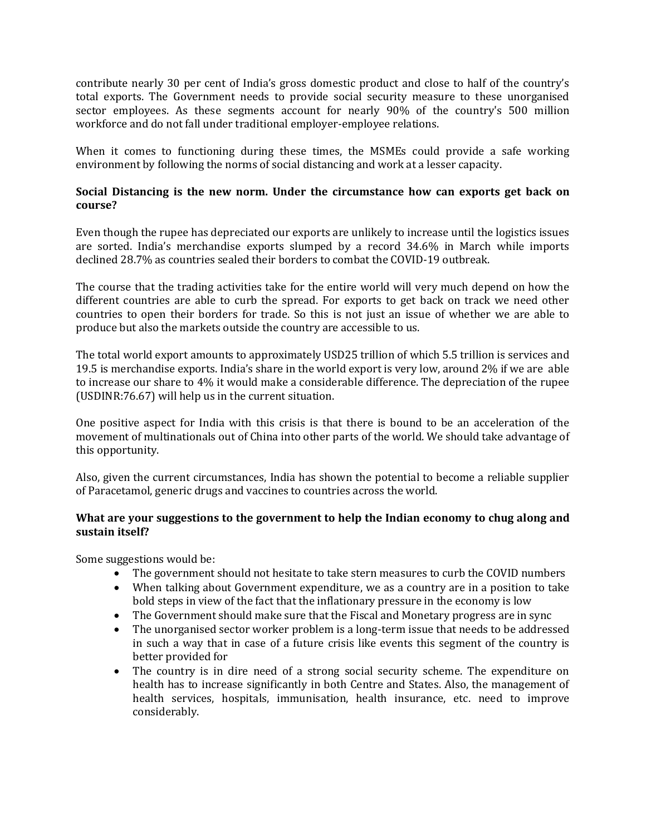contribute nearly 30 per cent of India's gross domestic product and close to half of the country's total exports. The Government needs to provide social security measure to these unorganised sector employees. As these segments account for nearly 90% of the country's 500 million workforce and do not fall under traditional employer-employee relations.

When it comes to functioning during these times, the MSMEs could provide a safe working environment by following the norms of social distancing and work at a lesser capacity.

# **Social Distancing is the new norm. Under the circumstance how can exports get back on course?**

Even though the rupee has depreciated our exports are unlikely to increase until the logistics issues are sorted. India's merchandise exports slumped by a record 34.6% in March while imports declined 28.7% as countries sealed their borders to combat the COVID-19 outbreak.

The course that the trading activities take for the entire world will very much depend on how the different countries are able to curb the spread. For exports to get back on track we need other countries to open their borders for trade. So this is not just an issue of whether we are able to produce but also the markets outside the country are accessible to us.

The total world export amounts to approximately USD25 trillion of which 5.5 trillion is services and 19.5 is merchandise exports. India's share in the world export is very low, around 2% if we are able to increase our share to 4% it would make a considerable difference. The depreciation of the rupee (USDINR:76.67) will help us in the current situation.

One positive aspect for India with this crisis is that there is bound to be an acceleration of the movement of multinationals out of China into other parts of the world. We should take advantage of this opportunity.

Also, given the current circumstances, India has shown the potential to become a reliable supplier of Paracetamol, generic drugs and vaccines to countries across the world.

# **What are your suggestions to the government to help the Indian economy to chug along and sustain itself?**

Some suggestions would be:

- The government should not hesitate to take stern measures to curb the COVID numbers
- When talking about Government expenditure, we as a country are in a position to take bold steps in view of the fact that the inflationary pressure in the economy is low
- The Government should make sure that the Fiscal and Monetary progress are in sync
- The unorganised sector worker problem is a long-term issue that needs to be addressed in such a way that in case of a future crisis like events this segment of the country is better provided for
- The country is in dire need of a strong social security scheme. The expenditure on health has to increase significantly in both Centre and States. Also, the management of health services, hospitals, immunisation, health insurance, etc. need to improve considerably.